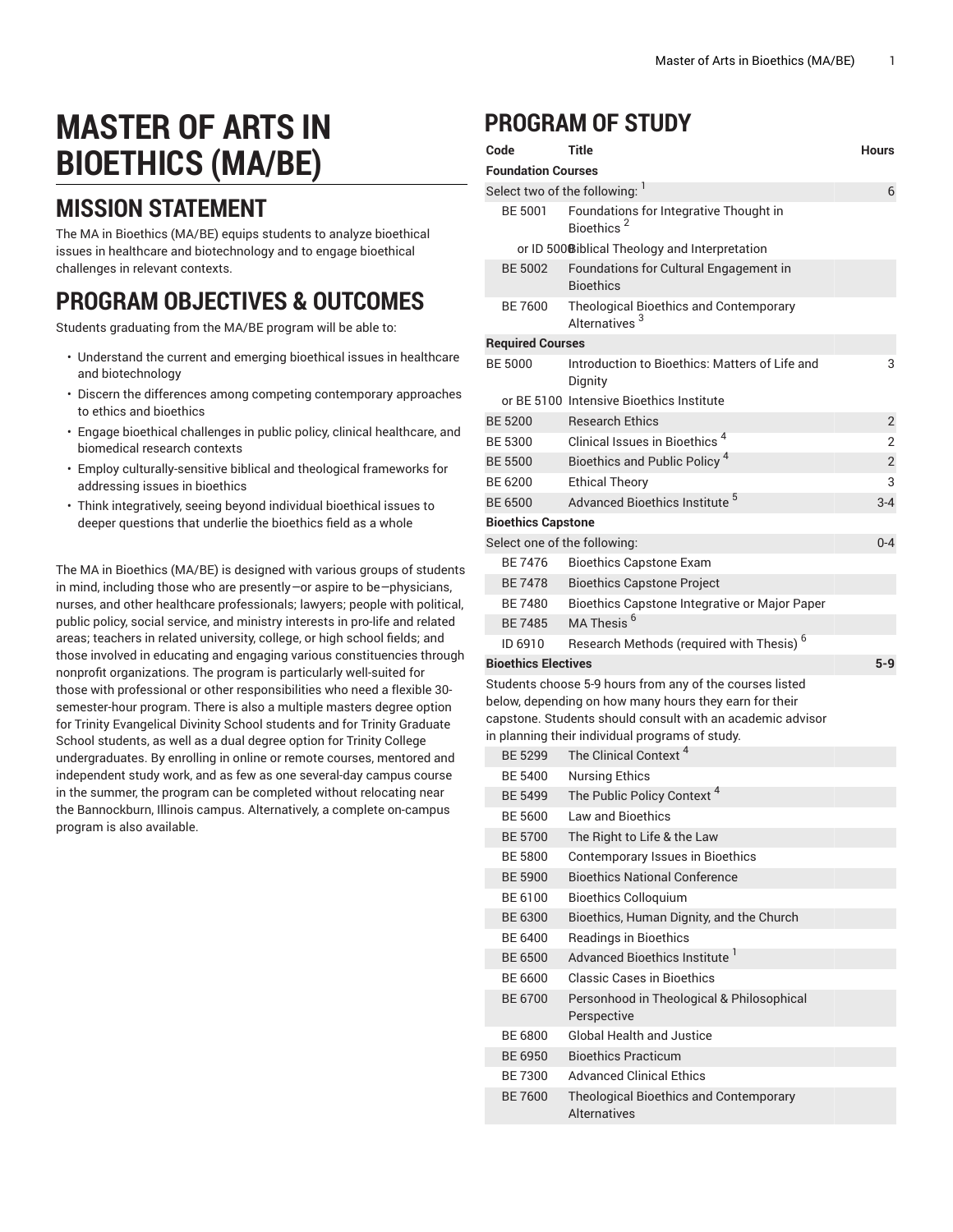# **MASTER OF ARTS IN BIOETHICS (MA/BE)**

### **MISSION STATEMENT**

The MA in Bioethics (MA/BE) equips students to analyze bioethical issues in healthcare and biotechnology and to engage bioethical challenges in relevant contexts.

## **PROGRAM OBJECTIVES & OUTCOMES**

Students graduating from the MA/BE program will be able to:

- Understand the current and emerging bioethical issues in healthcare and biotechnology
- Discern the differences among competing contemporary approaches to ethics and bioethics
- Engage bioethical challenges in public policy, clinical healthcare, and biomedical research contexts
- Employ culturally-sensitive biblical and theological frameworks for addressing issues in bioethics
- Think integratively, seeing beyond individual bioethical issues to deeper questions that underlie the bioethics field as a whole

The MA in Bioethics (MA/BE) is designed with various groups of students in mind, including those who are presently*—*or aspire to be*—*physicians, nurses, and other healthcare professionals; lawyers; people with political, public policy, social service, and ministry interests in pro-life and related areas; teachers in related university, college, or high school fields; and those involved in educating and engaging various constituencies through nonprofit organizations. The program is particularly well-suited for those with professional or other responsibilities who need a flexible 30 semester-hour program. There is also a multiple masters degree option for Trinity Evangelical Divinity School students and for Trinity Graduate School students, as well as a dual degree option for Trinity College undergraduates. By enrolling in online or remote courses, mentored and independent study work, and as few as one several-day campus course in the summer, the program can be completed without relocating near the Bannockburn, Illinois campus. Alternatively, a complete on-campus program is also available.

### **PROGRAM OF STUDY**

| Code                           | Title                                                                                                                                                                                                                               | <b>Hours</b>   |  |  |  |
|--------------------------------|-------------------------------------------------------------------------------------------------------------------------------------------------------------------------------------------------------------------------------------|----------------|--|--|--|
| <b>Foundation Courses</b>      |                                                                                                                                                                                                                                     |                |  |  |  |
| Select two of the following: ' |                                                                                                                                                                                                                                     | 6              |  |  |  |
| <b>BE 5001</b>                 | Foundations for Integrative Thought in<br>Bioethics <sup>2</sup>                                                                                                                                                                    |                |  |  |  |
|                                | or ID 500@iblical Theology and Interpretation                                                                                                                                                                                       |                |  |  |  |
| <b>BE 5002</b>                 | Foundations for Cultural Engagement in<br><b>Bioethics</b>                                                                                                                                                                          |                |  |  |  |
| BE 7600                        | Theological Bioethics and Contemporary<br>Alternatives <sup>3</sup>                                                                                                                                                                 |                |  |  |  |
| <b>Required Courses</b>        |                                                                                                                                                                                                                                     |                |  |  |  |
| <b>BE 5000</b>                 | Introduction to Bioethics: Matters of Life and<br>Dignity                                                                                                                                                                           | 3              |  |  |  |
|                                | or BE 5100 Intensive Bioethics Institute                                                                                                                                                                                            |                |  |  |  |
| <b>BE 5200</b>                 | <b>Research Ethics</b>                                                                                                                                                                                                              | $\overline{2}$ |  |  |  |
| BE 5300                        | Clinical Issues in Bioethics <sup>4</sup>                                                                                                                                                                                           | 2              |  |  |  |
| <b>BE 5500</b>                 | Bioethics and Public Policy <sup>4</sup>                                                                                                                                                                                            | 2              |  |  |  |
| BE 6200                        | <b>Ethical Theory</b>                                                                                                                                                                                                               | 3              |  |  |  |
| <b>BE 6500</b>                 | Advanced Bioethics Institute <sup>5</sup>                                                                                                                                                                                           | $3 - 4$        |  |  |  |
| <b>Bioethics Capstone</b>      |                                                                                                                                                                                                                                     |                |  |  |  |
| Select one of the following:   |                                                                                                                                                                                                                                     | $0 - 4$        |  |  |  |
| BE 7476                        | <b>Bioethics Capstone Exam</b>                                                                                                                                                                                                      |                |  |  |  |
| <b>BE 7478</b>                 | <b>Bioethics Capstone Project</b>                                                                                                                                                                                                   |                |  |  |  |
| <b>BE 7480</b>                 | Bioethics Capstone Integrative or Major Paper                                                                                                                                                                                       |                |  |  |  |
| <b>BE7485</b>                  | MA Thesis <sup>6</sup>                                                                                                                                                                                                              |                |  |  |  |
| ID 6910                        | Research Methods (required with Thesis) <sup>6</sup>                                                                                                                                                                                |                |  |  |  |
| <b>Bioethics Electives</b>     |                                                                                                                                                                                                                                     | $5 - 9$        |  |  |  |
|                                | Students choose 5-9 hours from any of the courses listed<br>below, depending on how many hours they earn for their<br>capstone. Students should consult with an academic advisor<br>in planning their individual programs of study. |                |  |  |  |
| <b>BE 5299</b>                 | The Clinical Context <sup>4</sup>                                                                                                                                                                                                   |                |  |  |  |
| BE 5400                        | <b>Nursing Ethics</b>                                                                                                                                                                                                               |                |  |  |  |
| BE 5499                        | The Public Policy Context <sup>4</sup>                                                                                                                                                                                              |                |  |  |  |
| <b>BE 5600</b>                 | <b>Law and Bioethics</b>                                                                                                                                                                                                            |                |  |  |  |
| <b>BE 5700</b>                 | The Right to Life & the Law                                                                                                                                                                                                         |                |  |  |  |
| <b>BE 5800</b>                 | Contemporary Issues in Bioethics                                                                                                                                                                                                    |                |  |  |  |
| <b>BE 5900</b>                 | <b>Bioethics National Conference</b>                                                                                                                                                                                                |                |  |  |  |
| BE 6100                        | <b>Bioethics Colloquium</b>                                                                                                                                                                                                         |                |  |  |  |
| BE 6300                        | Bioethics, Human Dignity, and the Church                                                                                                                                                                                            |                |  |  |  |
| BE 6400                        | <b>Readings in Bioethics</b>                                                                                                                                                                                                        |                |  |  |  |
| <b>BE 6500</b>                 | Advanced Bioethics Institute <sup>1</sup>                                                                                                                                                                                           |                |  |  |  |
| BE 6600                        | Classic Cases in Bioethics                                                                                                                                                                                                          |                |  |  |  |
| <b>BE 6700</b>                 | Personhood in Theological & Philosophical<br>Perspective                                                                                                                                                                            |                |  |  |  |
| BE 6800                        | Global Health and Justice                                                                                                                                                                                                           |                |  |  |  |
| <b>BE 6950</b>                 | <b>Bioethics Practicum</b>                                                                                                                                                                                                          |                |  |  |  |
| <b>BE 7300</b>                 | <b>Advanced Clinical Ethics</b>                                                                                                                                                                                                     |                |  |  |  |
| <b>BE 7600</b>                 | Theological Bioethics and Contemporary<br>Alternatives                                                                                                                                                                              |                |  |  |  |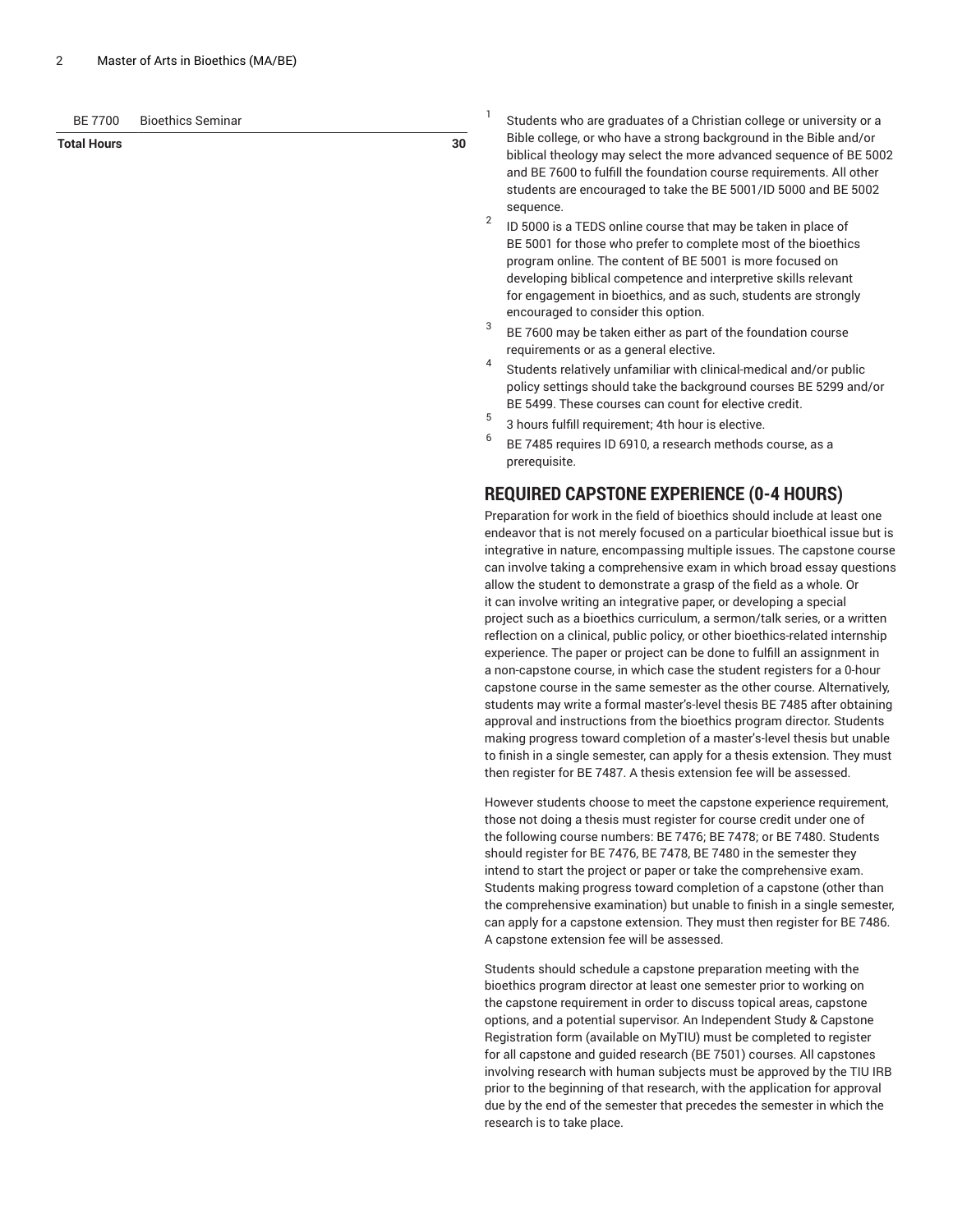| <b>Bioethics Seminar</b><br>BE 7700 |
|-------------------------------------|
|-------------------------------------|

### **Total Hours 30**

1 Students who are graduates of a Christian college or university or a Bible college, or who have a strong background in the Bible and/or biblical theology may select the more advanced sequence of BE 5002 and BE 7600 to fulfill the foundation course requirements. All other students are encouraged to take the BE 5001/ID 5000 and BE 5002 sequence.

- 2 ID 5000 is a TEDS online course that may be taken in place of BE 5001 for those who prefer to complete most of the bioethics program online. The content of BE 5001 is more focused on developing biblical competence and interpretive skills relevant for engagement in bioethics, and as such, students are strongly encouraged to consider this option.
- 3 BE 7600 may be taken either as part of the foundation course requirements or as a general elective.
- 4 Students relatively unfamiliar with clinical-medical and/or public policy settings should take the background courses BE 5299 and/or BE 5499. These courses can count for elective credit.
- 5 3 hours fulfill requirement; 4th hour is elective.
- 6 BE 7485 requires ID 6910, a research methods course, as a prerequisite.

### **REQUIRED CAPSTONE EXPERIENCE (0-4 HOURS)**

Preparation for work in the field of bioethics should include at least one endeavor that is not merely focused on a particular bioethical issue but is integrative in nature, encompassing multiple issues. The capstone course can involve taking a comprehensive exam in which broad essay questions allow the student to demonstrate a grasp of the field as a whole. Or it can involve writing an integrative paper, or developing a special project such as a bioethics curriculum, a sermon/talk series, or a written reflection on a clinical, public policy, or other bioethics-related internship experience. The paper or project can be done to fulfill an assignment in a non-capstone course, in which case the student registers for a 0-hour capstone course in the same semester as the other course. Alternatively, students may write a formal master's-level thesis BE 7485 after obtaining approval and instructions from the bioethics program director. Students making progress toward completion of a master's-level thesis but unable to finish in a single semester, can apply for a thesis extension. They must then register for BE 7487. A thesis extension fee will be assessed.

However students choose to meet the capstone experience requirement, those not doing a thesis must register for course credit under one of the following course numbers: BE 7476; BE 7478; or BE 7480. Students should register for BE 7476, BE 7478, BE 7480 in the semester they intend to start the project or paper or take the comprehensive exam. Students making progress toward completion of a capstone (other than the comprehensive examination) but unable to finish in a single semester, can apply for a capstone extension. They must then register for BE 7486. A capstone extension fee will be assessed.

Students should schedule a capstone preparation meeting with the bioethics program director at least one semester prior to working on the capstone requirement in order to discuss topical areas, capstone options, and a potential supervisor. An Independent Study & Capstone Registration form (available on MyTIU) must be completed to register for all capstone and guided research (BE 7501) courses. All capstones involving research with human subjects must be approved by the TIU IRB prior to the beginning of that research, with the application for approval due by the end of the semester that precedes the semester in which the research is to take place.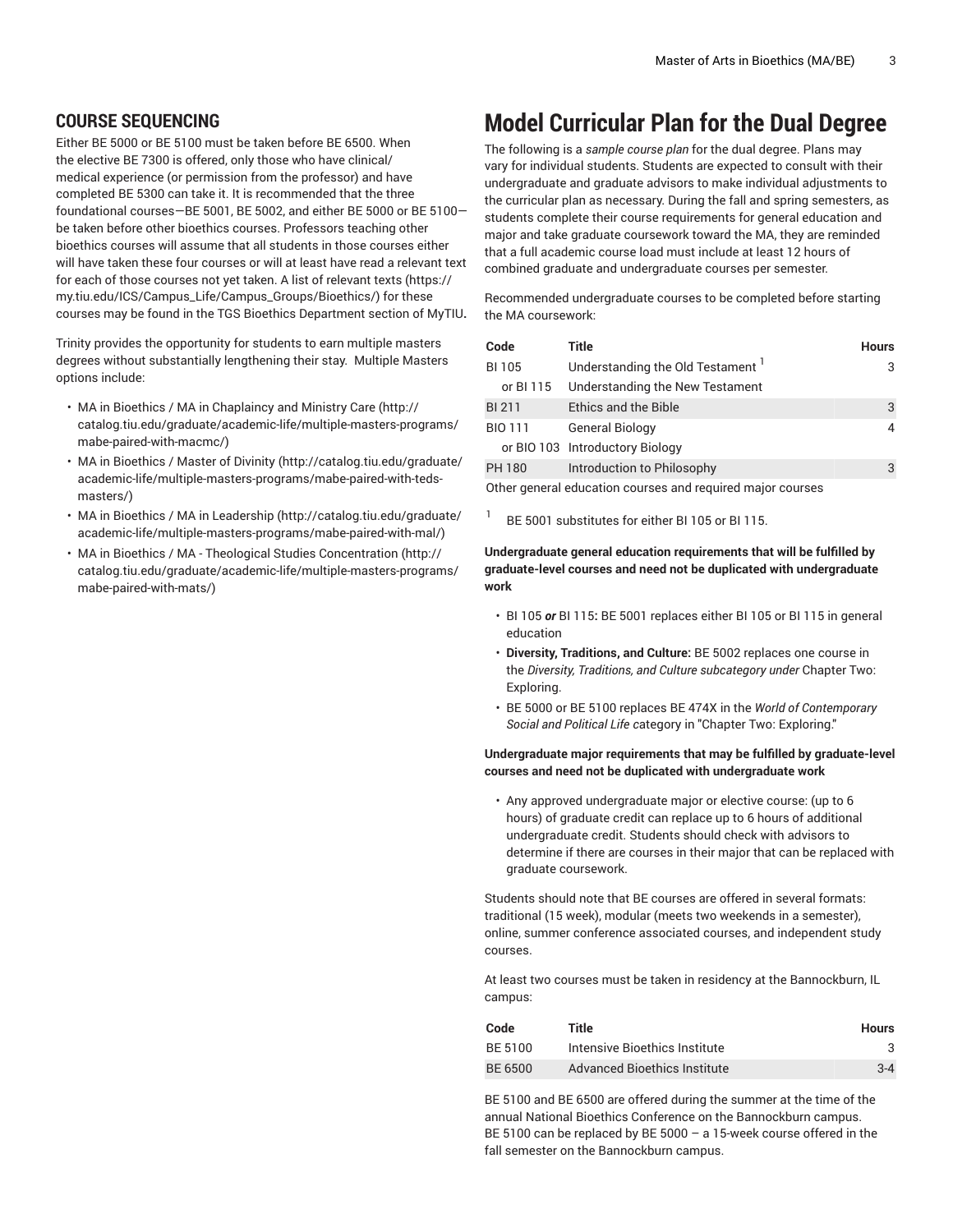### **COURSE SEQUENCING**

Either BE 5000 or BE 5100 must be taken before BE 6500. When the elective BE 7300 is offered, only those who have clinical/ medical experience (or permission from the professor) and have completed BE 5300 can take it. It is recommended that the three foundational courses—BE 5001, BE 5002, and either BE 5000 or BE 5100 be taken before other bioethics courses. Professors teaching other bioethics courses will assume that all students in those courses either will have taken these four courses or will at least have read a relevant text for each of those courses not yet taken. A list of [relevant](https://my.tiu.edu/ICS/Campus_Life/Campus_Groups/Bioethics/) texts [\(https://](https://my.tiu.edu/ICS/Campus_Life/Campus_Groups/Bioethics/) [my.tiu.edu/ICS/Campus\\_Life/Campus\\_Groups/Bioethics/\)](https://my.tiu.edu/ICS/Campus_Life/Campus_Groups/Bioethics/) for these courses may be found in the TGS Bioethics Department section of MyTIU**.**

Trinity provides the opportunity for students to earn multiple masters degrees without substantially lengthening their stay. Multiple Masters options include:

- MA in Bioethics / MA in [Chaplaincy](http://catalog.tiu.edu/graduate/academic-life/multiple-masters-programs/mabe-paired-with-macmc/) and Ministry Care ([http://](http://catalog.tiu.edu/graduate/academic-life/multiple-masters-programs/mabe-paired-with-macmc/) [catalog.tiu.edu/graduate/academic-life/multiple-masters-programs/](http://catalog.tiu.edu/graduate/academic-life/multiple-masters-programs/mabe-paired-with-macmc/) [mabe-paired-with-macmc/\)](http://catalog.tiu.edu/graduate/academic-life/multiple-masters-programs/mabe-paired-with-macmc/)
- MA in [Bioethics](http://catalog.tiu.edu/graduate/academic-life/multiple-masters-programs/mabe-paired-with-teds-masters/) / Master of Divinity ([http://catalog.tiu.edu/graduate/](http://catalog.tiu.edu/graduate/academic-life/multiple-masters-programs/mabe-paired-with-teds-masters/) [academic-life/multiple-masters-programs/mabe-paired-with-teds](http://catalog.tiu.edu/graduate/academic-life/multiple-masters-programs/mabe-paired-with-teds-masters/)[masters/\)](http://catalog.tiu.edu/graduate/academic-life/multiple-masters-programs/mabe-paired-with-teds-masters/)
- MA in Bioethics / MA in [Leadership](http://catalog.tiu.edu/graduate/academic-life/multiple-masters-programs/mabe-paired-with-mal/) ([http://catalog.tiu.edu/graduate/](http://catalog.tiu.edu/graduate/academic-life/multiple-masters-programs/mabe-paired-with-mal/) [academic-life/multiple-masters-programs/mabe-paired-with-mal/](http://catalog.tiu.edu/graduate/academic-life/multiple-masters-programs/mabe-paired-with-mal/))
- MA in Bioethics / MA Theological Studies [Concentration](http://catalog.tiu.edu/graduate/academic-life/multiple-masters-programs/mabe-paired-with-mats/) ([http://](http://catalog.tiu.edu/graduate/academic-life/multiple-masters-programs/mabe-paired-with-mats/) [catalog.tiu.edu/graduate/academic-life/multiple-masters-programs/](http://catalog.tiu.edu/graduate/academic-life/multiple-masters-programs/mabe-paired-with-mats/) [mabe-paired-with-mats/](http://catalog.tiu.edu/graduate/academic-life/multiple-masters-programs/mabe-paired-with-mats/))

# **Model Curricular Plan for the Dual Degree**

The following is a *sample course plan* for the dual degree. Plans may vary for individual students. Students are expected to consult with their undergraduate and graduate advisors to make individual adjustments to the curricular plan as necessary. During the fall and spring semesters, as students complete their course requirements for general education and major and take graduate coursework toward the MA, they are reminded that a full academic course load must include at least 12 hours of combined graduate and undergraduate courses per semester.

Recommended undergraduate courses to be completed before starting the MA coursework:

| Code           | Title                           | <b>Hours</b> |
|----------------|---------------------------------|--------------|
| <b>BI105</b>   | Understanding the Old Testament |              |
| or BI 115      | Understanding the New Testament |              |
| <b>BI211</b>   | <b>Ethics and the Bible</b>     | 3            |
| <b>BIO 111</b> | <b>General Biology</b>          |              |
|                | or BIO 103 Introductory Biology |              |
| PH 180         | Introduction to Philosophy      | 3            |
|                |                                 |              |

Other general education courses and required major courses

1 BE 5001 substitutes for either BI 105 or BI 115.

#### **Undergraduate general education requirements that will be fulfilled by graduate-level courses and need not be duplicated with undergraduate work**

- [BI 105](/search/?P=BI%20105) *or* [BI 115](/search/?P=BI%20115)**:** BE 5001 replaces either BI 105 or BI 115 in general education
- **Diversity, Traditions, and Culture:** BE 5002 replaces one course in the *Diversity, Traditions, and Culture subcategory under* Chapter Two: Exploring.
- BE 5000 or BE 5100 replaces BE 474X in the *World of Contemporary Social and Political Life c*ategory in "Chapter Two: Exploring."

### **Undergraduate major requirements that may be fulfilled by graduate-level courses and need not be duplicated with undergraduate work**

• Any approved undergraduate major or elective course: (up to 6 hours) of graduate credit can replace up to 6 hours of additional undergraduate credit. Students should check with advisors to determine if there are courses in their major that can be replaced with graduate coursework.

Students should note that BE courses are offered in several formats: traditional (15 week), modular (meets two weekends in a semester), online, summer conference associated courses, and independent study courses.

At least two courses must be taken in residency at the Bannockburn, IL campus:

| Code    | Title                         | <b>Hours</b> |
|---------|-------------------------------|--------------|
| BE 5100 | Intensive Bioethics Institute | 3            |
| BE 6500 | Advanced Bioethics Institute  | $3 - 4$      |

BE 5100 and BE 6500 are offered during the summer at the time of the annual National Bioethics Conference on the Bannockburn campus. BE 5100 can be replaced by BE 5000 – a 15-week course offered in the fall semester on the Bannockburn campus.